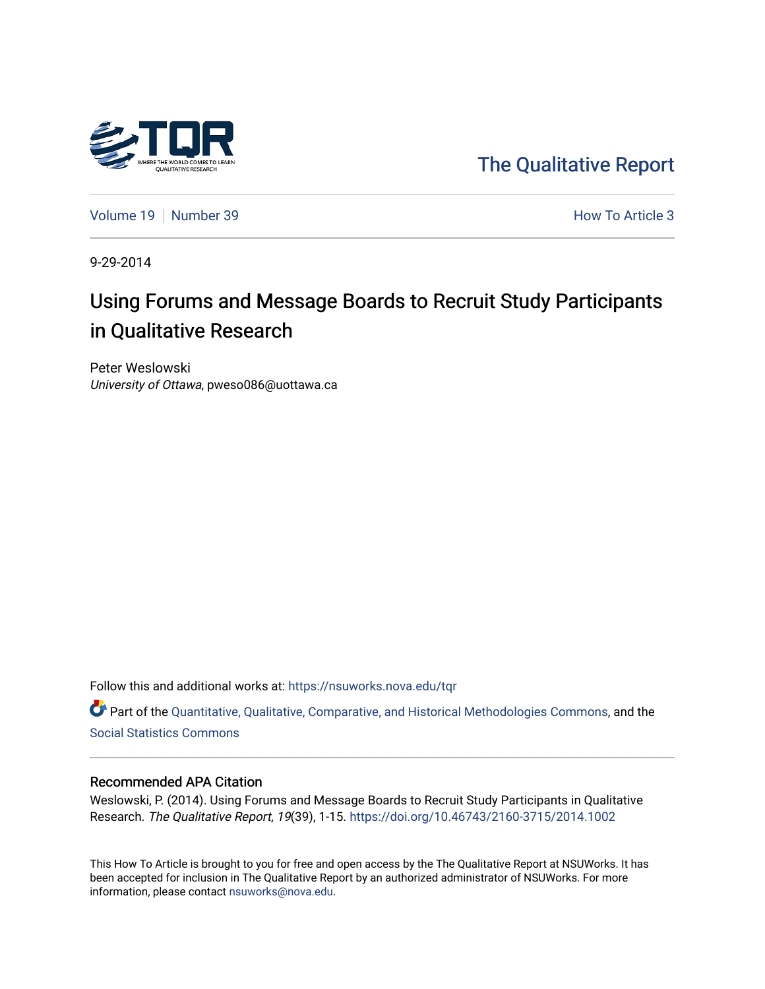

[The Qualitative Report](https://nsuworks.nova.edu/tqr) 

[Volume 19](https://nsuworks.nova.edu/tqr/vol19) [Number 39](https://nsuworks.nova.edu/tqr/vol19/iss39) **How To Article 3** 

9-29-2014

## Using Forums and Message Boards to Recruit Study Participants in Qualitative Research

Peter Weslowski University of Ottawa, pweso086@uottawa.ca

Follow this and additional works at: [https://nsuworks.nova.edu/tqr](https://nsuworks.nova.edu/tqr?utm_source=nsuworks.nova.edu%2Ftqr%2Fvol19%2Fiss39%2F3&utm_medium=PDF&utm_campaign=PDFCoverPages) 

Part of the [Quantitative, Qualitative, Comparative, and Historical Methodologies Commons,](http://network.bepress.com/hgg/discipline/423?utm_source=nsuworks.nova.edu%2Ftqr%2Fvol19%2Fiss39%2F3&utm_medium=PDF&utm_campaign=PDFCoverPages) and the [Social Statistics Commons](http://network.bepress.com/hgg/discipline/1275?utm_source=nsuworks.nova.edu%2Ftqr%2Fvol19%2Fiss39%2F3&utm_medium=PDF&utm_campaign=PDFCoverPages) 

#### Recommended APA Citation

Weslowski, P. (2014). Using Forums and Message Boards to Recruit Study Participants in Qualitative Research. The Qualitative Report, 19(39), 1-15. <https://doi.org/10.46743/2160-3715/2014.1002>

This How To Article is brought to you for free and open access by the The Qualitative Report at NSUWorks. It has been accepted for inclusion in The Qualitative Report by an authorized administrator of NSUWorks. For more information, please contact [nsuworks@nova.edu.](mailto:nsuworks@nova.edu)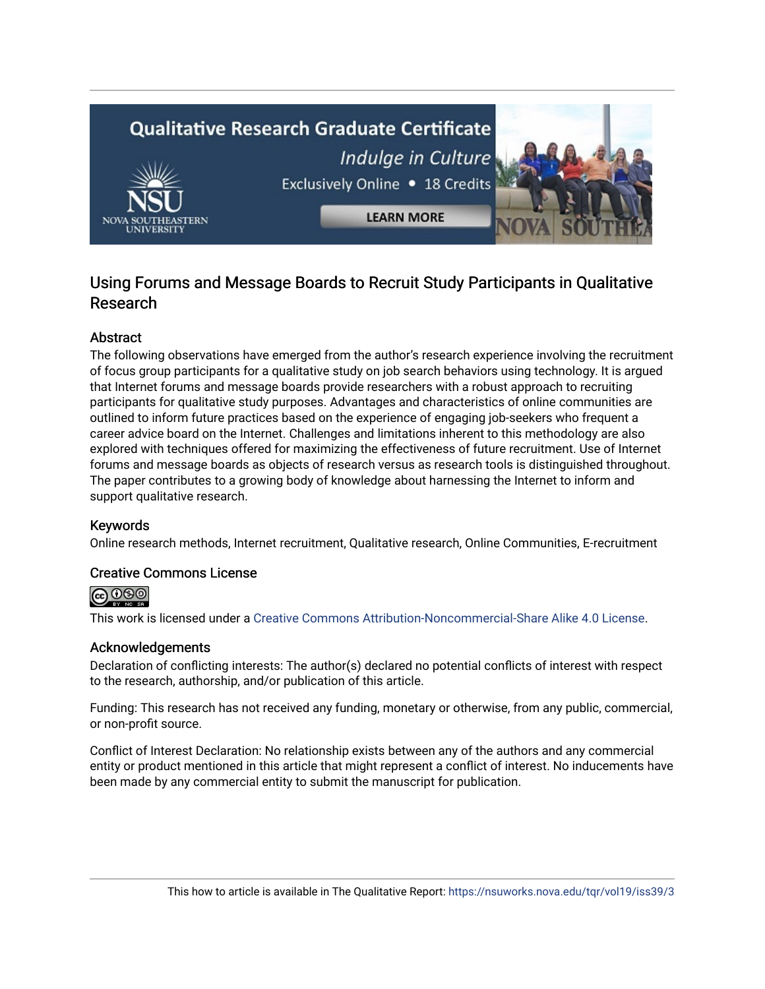# **Qualitative Research Graduate Certificate** Indulge in Culture Exclusively Online . 18 Credits **LEARN MORE**

### Using Forums and Message Boards to Recruit Study Participants in Qualitative Research

#### **Abstract**

The following observations have emerged from the author's research experience involving the recruitment of focus group participants for a qualitative study on job search behaviors using technology. It is argued that Internet forums and message boards provide researchers with a robust approach to recruiting participants for qualitative study purposes. Advantages and characteristics of online communities are outlined to inform future practices based on the experience of engaging job-seekers who frequent a career advice board on the Internet. Challenges and limitations inherent to this methodology are also explored with techniques offered for maximizing the effectiveness of future recruitment. Use of Internet forums and message boards as objects of research versus as research tools is distinguished throughout. The paper contributes to a growing body of knowledge about harnessing the Internet to inform and support qualitative research.

#### Keywords

Online research methods, Internet recruitment, Qualitative research, Online Communities, E-recruitment

#### Creative Commons License



This work is licensed under a [Creative Commons Attribution-Noncommercial-Share Alike 4.0 License](https://creativecommons.org/licenses/by-nc-sa/4.0/).

#### Acknowledgements

Declaration of conflicting interests: The author(s) declared no potential conflicts of interest with respect to the research, authorship, and/or publication of this article.

Funding: This research has not received any funding, monetary or otherwise, from any public, commercial, or non-profit source.

Conflict of Interest Declaration: No relationship exists between any of the authors and any commercial entity or product mentioned in this article that might represent a conflict of interest. No inducements have been made by any commercial entity to submit the manuscript for publication.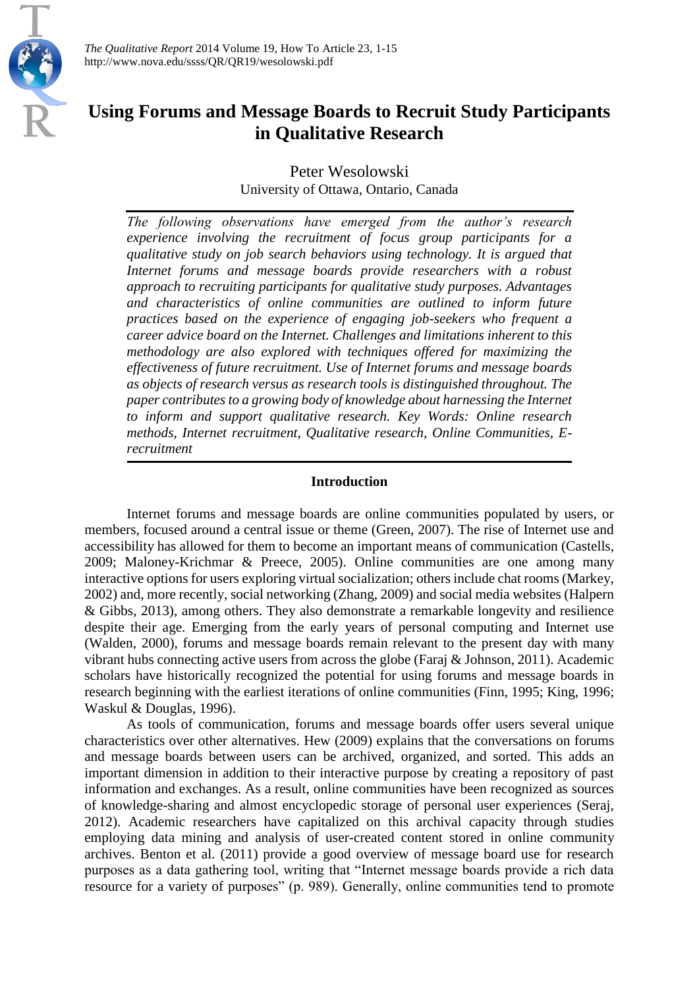

*The Qualitative Report* 2014 Volume 19, How To Article 23, 1-15 http://www.nova.edu/ssss/QR/QR19/wesolowski.pdf

## **Using Forums and Message Boards to Recruit Study Participants in Qualitative Research**

Peter Wesolowski University of Ottawa, Ontario, Canada

*The following observations have emerged from the author's research experience involving the recruitment of focus group participants for a qualitative study on job search behaviors using technology. It is argued that Internet forums and message boards provide researchers with a robust approach to recruiting participants for qualitative study purposes. Advantages and characteristics of online communities are outlined to inform future practices based on the experience of engaging job-seekers who frequent a career advice board on the Internet. Challenges and limitations inherent to this methodology are also explored with techniques offered for maximizing the effectiveness of future recruitment. Use of Internet forums and message boards as objects of research versus as research tools is distinguished throughout. The paper contributes to a growing body of knowledge about harnessing the Internet to inform and support qualitative research. Key Words: Online research methods, Internet recruitment, Qualitative research, Online Communities, Erecruitment*

#### **Introduction**

Internet forums and message boards are online communities populated by users, or members, focused around a central issue or theme (Green, 2007). The rise of Internet use and accessibility has allowed for them to become an important means of communication (Castells, 2009; Maloney-Krichmar & Preece, 2005). Online communities are one among many interactive options for users exploring virtual socialization; others include chat rooms (Markey, 2002) and, more recently, social networking (Zhang, 2009) and social media websites (Halpern & Gibbs, 2013), among others. They also demonstrate a remarkable longevity and resilience despite their age. Emerging from the early years of personal computing and Internet use (Walden, 2000), forums and message boards remain relevant to the present day with many vibrant hubs connecting active users from across the globe (Faraj & Johnson, 2011). Academic scholars have historically recognized the potential for using forums and message boards in research beginning with the earliest iterations of online communities (Finn, 1995; King, 1996; Waskul & Douglas, 1996).

As tools of communication, forums and message boards offer users several unique characteristics over other alternatives. Hew (2009) explains that the conversations on forums and message boards between users can be archived, organized, and sorted. This adds an important dimension in addition to their interactive purpose by creating a repository of past information and exchanges. As a result, online communities have been recognized as sources of knowledge-sharing and almost encyclopedic storage of personal user experiences (Seraj, 2012). Academic researchers have capitalized on this archival capacity through studies employing data mining and analysis of user-created content stored in online community archives. Benton et al. (2011) provide a good overview of message board use for research purposes as a data gathering tool, writing that "Internet message boards provide a rich data resource for a variety of purposes" (p. 989). Generally, online communities tend to promote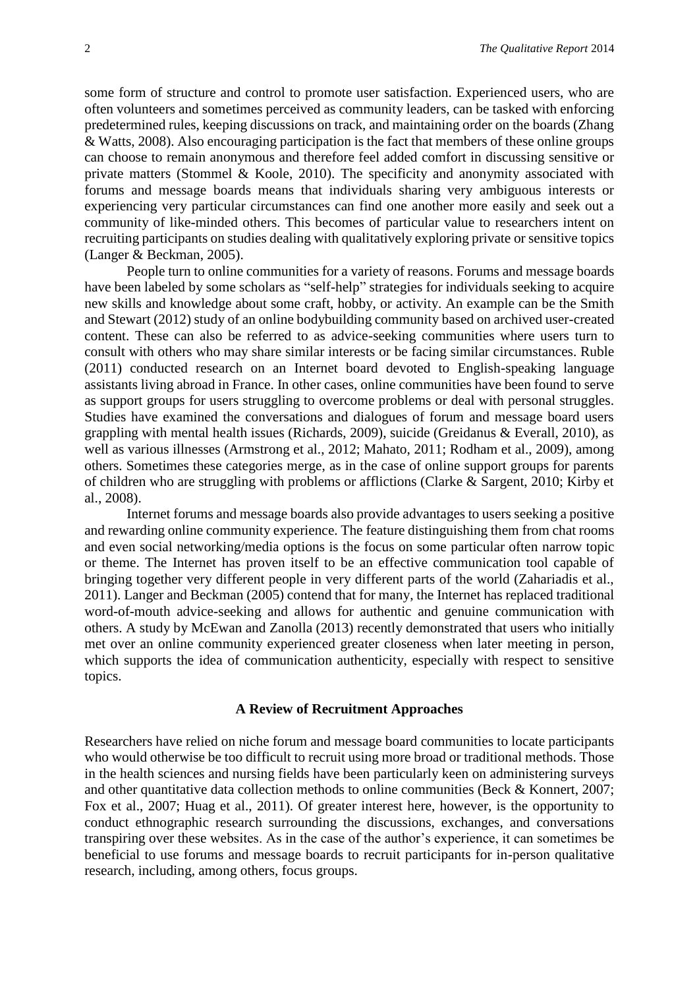some form of structure and control to promote user satisfaction. Experienced users, who are often volunteers and sometimes perceived as community leaders, can be tasked with enforcing predetermined rules, keeping discussions on track, and maintaining order on the boards (Zhang & Watts, 2008). Also encouraging participation is the fact that members of these online groups can choose to remain anonymous and therefore feel added comfort in discussing sensitive or private matters (Stommel & Koole, 2010). The specificity and anonymity associated with forums and message boards means that individuals sharing very ambiguous interests or experiencing very particular circumstances can find one another more easily and seek out a community of like-minded others. This becomes of particular value to researchers intent on recruiting participants on studies dealing with qualitatively exploring private or sensitive topics (Langer & Beckman, 2005).

People turn to online communities for a variety of reasons. Forums and message boards have been labeled by some scholars as "self-help" strategies for individuals seeking to acquire new skills and knowledge about some craft, hobby, or activity. An example can be the Smith and Stewart (2012) study of an online bodybuilding community based on archived user-created content. These can also be referred to as advice-seeking communities where users turn to consult with others who may share similar interests or be facing similar circumstances. Ruble (2011) conducted research on an Internet board devoted to English-speaking language assistants living abroad in France. In other cases, online communities have been found to serve as support groups for users struggling to overcome problems or deal with personal struggles. Studies have examined the conversations and dialogues of forum and message board users grappling with mental health issues (Richards, 2009), suicide (Greidanus & Everall, 2010), as well as various illnesses (Armstrong et al., 2012; Mahato, 2011; Rodham et al., 2009), among others. Sometimes these categories merge, as in the case of online support groups for parents of children who are struggling with problems or afflictions (Clarke & Sargent, 2010; Kirby et al., 2008).

Internet forums and message boards also provide advantages to users seeking a positive and rewarding online community experience. The feature distinguishing them from chat rooms and even social networking/media options is the focus on some particular often narrow topic or theme. The Internet has proven itself to be an effective communication tool capable of bringing together very different people in very different parts of the world (Zahariadis et al., 2011). Langer and Beckman (2005) contend that for many, the Internet has replaced traditional word-of-mouth advice-seeking and allows for authentic and genuine communication with others. A study by McEwan and Zanolla (2013) recently demonstrated that users who initially met over an online community experienced greater closeness when later meeting in person, which supports the idea of communication authenticity, especially with respect to sensitive topics.

#### **A Review of Recruitment Approaches**

Researchers have relied on niche forum and message board communities to locate participants who would otherwise be too difficult to recruit using more broad or traditional methods. Those in the health sciences and nursing fields have been particularly keen on administering surveys and other quantitative data collection methods to online communities (Beck & Konnert, 2007; Fox et al., 2007; Huag et al., 2011). Of greater interest here, however, is the opportunity to conduct ethnographic research surrounding the discussions, exchanges, and conversations transpiring over these websites. As in the case of the author's experience, it can sometimes be beneficial to use forums and message boards to recruit participants for in-person qualitative research, including, among others, focus groups.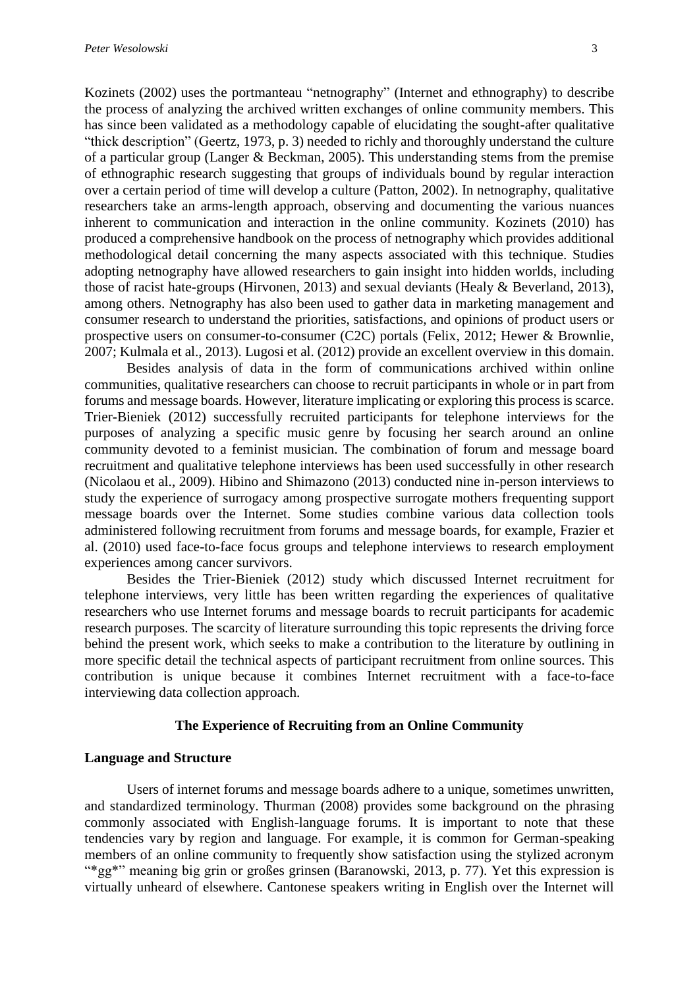Kozinets (2002) uses the portmanteau "netnography" (Internet and ethnography) to describe the process of analyzing the archived written exchanges of online community members. This has since been validated as a methodology capable of elucidating the sought-after qualitative "thick description" (Geertz, 1973, p. 3) needed to richly and thoroughly understand the culture of a particular group (Langer & Beckman, 2005). This understanding stems from the premise of ethnographic research suggesting that groups of individuals bound by regular interaction over a certain period of time will develop a culture (Patton, 2002). In netnography, qualitative researchers take an arms-length approach, observing and documenting the various nuances inherent to communication and interaction in the online community. Kozinets (2010) has produced a comprehensive handbook on the process of netnography which provides additional methodological detail concerning the many aspects associated with this technique. Studies adopting netnography have allowed researchers to gain insight into hidden worlds, including those of racist hate-groups (Hirvonen, 2013) and sexual deviants (Healy & Beverland, 2013), among others. Netnography has also been used to gather data in marketing management and consumer research to understand the priorities, satisfactions, and opinions of product users or prospective users on consumer-to-consumer (C2C) portals (Felix, 2012; Hewer & Brownlie, 2007; Kulmala et al., 2013). Lugosi et al. (2012) provide an excellent overview in this domain.

Besides analysis of data in the form of communications archived within online communities, qualitative researchers can choose to recruit participants in whole or in part from forums and message boards. However, literature implicating or exploring this process is scarce. Trier-Bieniek (2012) successfully recruited participants for telephone interviews for the purposes of analyzing a specific music genre by focusing her search around an online community devoted to a feminist musician. The combination of forum and message board recruitment and qualitative telephone interviews has been used successfully in other research (Nicolaou et al., 2009). Hibino and Shimazono (2013) conducted nine in-person interviews to study the experience of surrogacy among prospective surrogate mothers frequenting support message boards over the Internet. Some studies combine various data collection tools administered following recruitment from forums and message boards, for example, Frazier et al. (2010) used face-to-face focus groups and telephone interviews to research employment experiences among cancer survivors.

Besides the Trier-Bieniek (2012) study which discussed Internet recruitment for telephone interviews, very little has been written regarding the experiences of qualitative researchers who use Internet forums and message boards to recruit participants for academic research purposes. The scarcity of literature surrounding this topic represents the driving force behind the present work, which seeks to make a contribution to the literature by outlining in more specific detail the technical aspects of participant recruitment from online sources. This contribution is unique because it combines Internet recruitment with a face-to-face interviewing data collection approach.

#### **The Experience of Recruiting from an Online Community**

#### **Language and Structure**

Users of internet forums and message boards adhere to a unique, sometimes unwritten, and standardized terminology. Thurman (2008) provides some background on the phrasing commonly associated with English-language forums. It is important to note that these tendencies vary by region and language. For example, it is common for German-speaking members of an online community to frequently show satisfaction using the stylized acronym "\*gg\*" meaning big grin or großes grinsen (Baranowski, 2013, p. 77). Yet this expression is virtually unheard of elsewhere. Cantonese speakers writing in English over the Internet will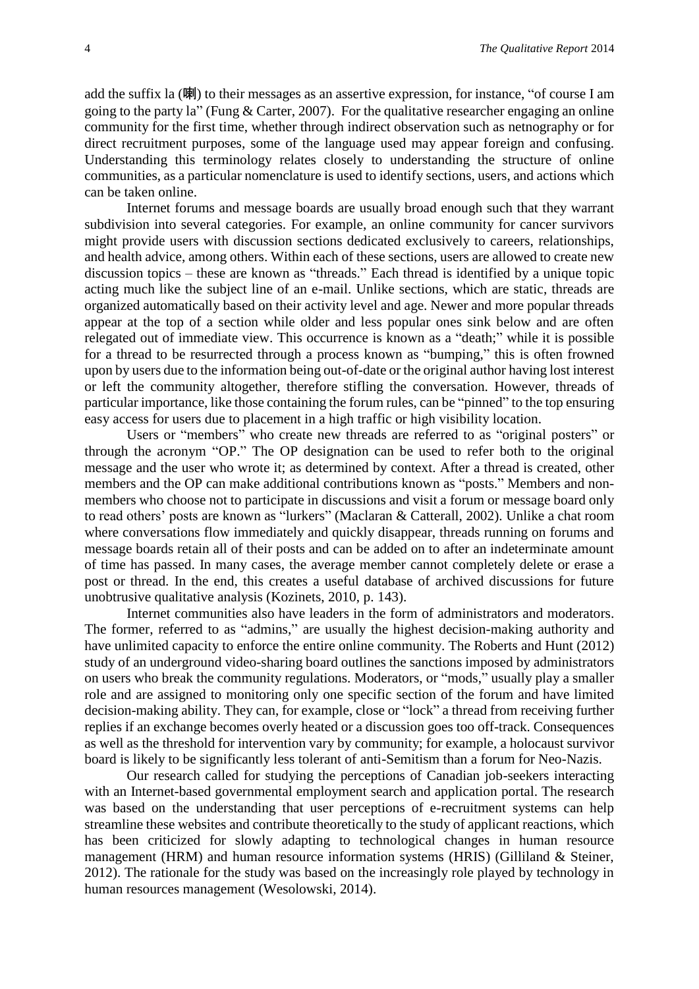add the suffix la (喇) to their messages as an assertive expression, for instance, "of course I am going to the party la" (Fung & Carter, 2007). For the qualitative researcher engaging an online community for the first time, whether through indirect observation such as netnography or for direct recruitment purposes, some of the language used may appear foreign and confusing. Understanding this terminology relates closely to understanding the structure of online communities, as a particular nomenclature is used to identify sections, users, and actions which can be taken online.

Internet forums and message boards are usually broad enough such that they warrant subdivision into several categories. For example, an online community for cancer survivors might provide users with discussion sections dedicated exclusively to careers, relationships, and health advice, among others. Within each of these sections, users are allowed to create new discussion topics – these are known as "threads." Each thread is identified by a unique topic acting much like the subject line of an e-mail. Unlike sections, which are static, threads are organized automatically based on their activity level and age. Newer and more popular threads appear at the top of a section while older and less popular ones sink below and are often relegated out of immediate view. This occurrence is known as a "death;" while it is possible for a thread to be resurrected through a process known as "bumping," this is often frowned upon by users due to the information being out-of-date or the original author having lost interest or left the community altogether, therefore stifling the conversation. However, threads of particular importance, like those containing the forum rules, can be "pinned" to the top ensuring easy access for users due to placement in a high traffic or high visibility location.

Users or "members" who create new threads are referred to as "original posters" or through the acronym "OP." The OP designation can be used to refer both to the original message and the user who wrote it; as determined by context. After a thread is created, other members and the OP can make additional contributions known as "posts." Members and nonmembers who choose not to participate in discussions and visit a forum or message board only to read others' posts are known as "lurkers" (Maclaran & Catterall, 2002). Unlike a chat room where conversations flow immediately and quickly disappear, threads running on forums and message boards retain all of their posts and can be added on to after an indeterminate amount of time has passed. In many cases, the average member cannot completely delete or erase a post or thread. In the end, this creates a useful database of archived discussions for future unobtrusive qualitative analysis (Kozinets, 2010, p. 143).

Internet communities also have leaders in the form of administrators and moderators. The former, referred to as "admins," are usually the highest decision-making authority and have unlimited capacity to enforce the entire online community. The Roberts and Hunt (2012) study of an underground video-sharing board outlines the sanctions imposed by administrators on users who break the community regulations. Moderators, or "mods," usually play a smaller role and are assigned to monitoring only one specific section of the forum and have limited decision-making ability. They can, for example, close or "lock" a thread from receiving further replies if an exchange becomes overly heated or a discussion goes too off-track. Consequences as well as the threshold for intervention vary by community; for example, a holocaust survivor board is likely to be significantly less tolerant of anti-Semitism than a forum for Neo-Nazis.

Our research called for studying the perceptions of Canadian job-seekers interacting with an Internet-based governmental employment search and application portal. The research was based on the understanding that user perceptions of e-recruitment systems can help streamline these websites and contribute theoretically to the study of applicant reactions, which has been criticized for slowly adapting to technological changes in human resource management (HRM) and human resource information systems (HRIS) (Gilliland & Steiner, 2012). The rationale for the study was based on the increasingly role played by technology in human resources management (Wesolowski, 2014).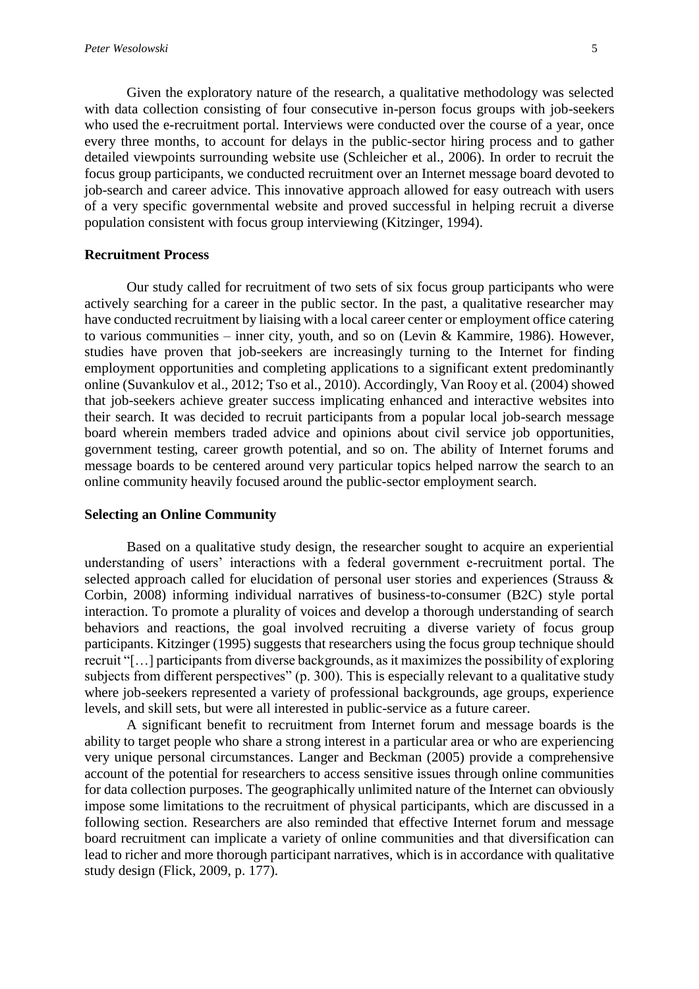Given the exploratory nature of the research, a qualitative methodology was selected with data collection consisting of four consecutive in-person focus groups with job-seekers who used the e-recruitment portal. Interviews were conducted over the course of a year, once every three months, to account for delays in the public-sector hiring process and to gather detailed viewpoints surrounding website use (Schleicher et al., 2006). In order to recruit the focus group participants, we conducted recruitment over an Internet message board devoted to job-search and career advice. This innovative approach allowed for easy outreach with users of a very specific governmental website and proved successful in helping recruit a diverse population consistent with focus group interviewing (Kitzinger, 1994).

#### **Recruitment Process**

Our study called for recruitment of two sets of six focus group participants who were actively searching for a career in the public sector. In the past, a qualitative researcher may have conducted recruitment by liaising with a local career center or employment office catering to various communities – inner city, youth, and so on (Levin & Kammire, 1986). However, studies have proven that job-seekers are increasingly turning to the Internet for finding employment opportunities and completing applications to a significant extent predominantly online (Suvankulov et al., 2012; Tso et al., 2010). Accordingly, Van Rooy et al. (2004) showed that job-seekers achieve greater success implicating enhanced and interactive websites into their search. It was decided to recruit participants from a popular local job-search message board wherein members traded advice and opinions about civil service job opportunities, government testing, career growth potential, and so on. The ability of Internet forums and message boards to be centered around very particular topics helped narrow the search to an online community heavily focused around the public-sector employment search.

#### **Selecting an Online Community**

Based on a qualitative study design, the researcher sought to acquire an experiential understanding of users' interactions with a federal government e-recruitment portal. The selected approach called for elucidation of personal user stories and experiences (Strauss & Corbin, 2008) informing individual narratives of business-to-consumer (B2C) style portal interaction. To promote a plurality of voices and develop a thorough understanding of search behaviors and reactions, the goal involved recruiting a diverse variety of focus group participants. Kitzinger (1995) suggests that researchers using the focus group technique should recruit "[…] participants from diverse backgrounds, as it maximizes the possibility of exploring subjects from different perspectives" (p. 300). This is especially relevant to a qualitative study where job-seekers represented a variety of professional backgrounds, age groups, experience levels, and skill sets, but were all interested in public-service as a future career.

A significant benefit to recruitment from Internet forum and message boards is the ability to target people who share a strong interest in a particular area or who are experiencing very unique personal circumstances. Langer and Beckman (2005) provide a comprehensive account of the potential for researchers to access sensitive issues through online communities for data collection purposes. The geographically unlimited nature of the Internet can obviously impose some limitations to the recruitment of physical participants, which are discussed in a following section. Researchers are also reminded that effective Internet forum and message board recruitment can implicate a variety of online communities and that diversification can lead to richer and more thorough participant narratives, which is in accordance with qualitative study design (Flick, 2009, p. 177).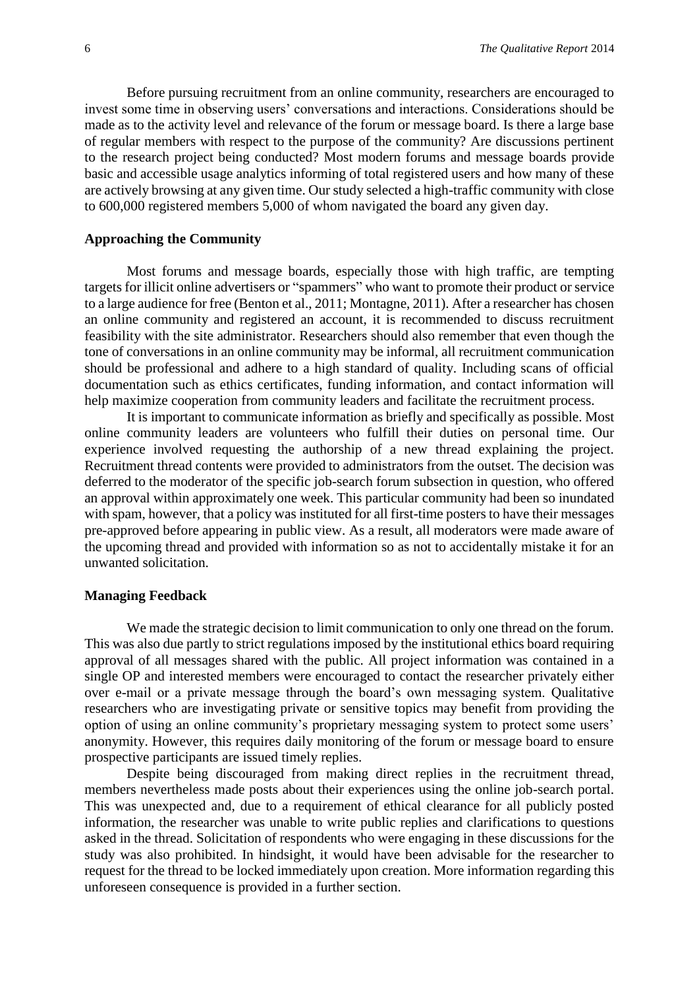Before pursuing recruitment from an online community, researchers are encouraged to invest some time in observing users' conversations and interactions. Considerations should be made as to the activity level and relevance of the forum or message board. Is there a large base of regular members with respect to the purpose of the community? Are discussions pertinent to the research project being conducted? Most modern forums and message boards provide basic and accessible usage analytics informing of total registered users and how many of these are actively browsing at any given time. Our study selected a high-traffic community with close to 600,000 registered members 5,000 of whom navigated the board any given day.

#### **Approaching the Community**

Most forums and message boards, especially those with high traffic, are tempting targets for illicit online advertisers or "spammers" who want to promote their product or service to a large audience for free (Benton et al., 2011; Montagne, 2011). After a researcher has chosen an online community and registered an account, it is recommended to discuss recruitment feasibility with the site administrator. Researchers should also remember that even though the tone of conversations in an online community may be informal, all recruitment communication should be professional and adhere to a high standard of quality. Including scans of official documentation such as ethics certificates, funding information, and contact information will help maximize cooperation from community leaders and facilitate the recruitment process.

It is important to communicate information as briefly and specifically as possible. Most online community leaders are volunteers who fulfill their duties on personal time. Our experience involved requesting the authorship of a new thread explaining the project. Recruitment thread contents were provided to administrators from the outset. The decision was deferred to the moderator of the specific job-search forum subsection in question, who offered an approval within approximately one week. This particular community had been so inundated with spam, however, that a policy was instituted for all first-time posters to have their messages pre-approved before appearing in public view. As a result, all moderators were made aware of the upcoming thread and provided with information so as not to accidentally mistake it for an unwanted solicitation.

#### **Managing Feedback**

We made the strategic decision to limit communication to only one thread on the forum. This was also due partly to strict regulations imposed by the institutional ethics board requiring approval of all messages shared with the public. All project information was contained in a single OP and interested members were encouraged to contact the researcher privately either over e-mail or a private message through the board's own messaging system. Qualitative researchers who are investigating private or sensitive topics may benefit from providing the option of using an online community's proprietary messaging system to protect some users' anonymity. However, this requires daily monitoring of the forum or message board to ensure prospective participants are issued timely replies.

Despite being discouraged from making direct replies in the recruitment thread, members nevertheless made posts about their experiences using the online job-search portal. This was unexpected and, due to a requirement of ethical clearance for all publicly posted information, the researcher was unable to write public replies and clarifications to questions asked in the thread. Solicitation of respondents who were engaging in these discussions for the study was also prohibited. In hindsight, it would have been advisable for the researcher to request for the thread to be locked immediately upon creation. More information regarding this unforeseen consequence is provided in a further section.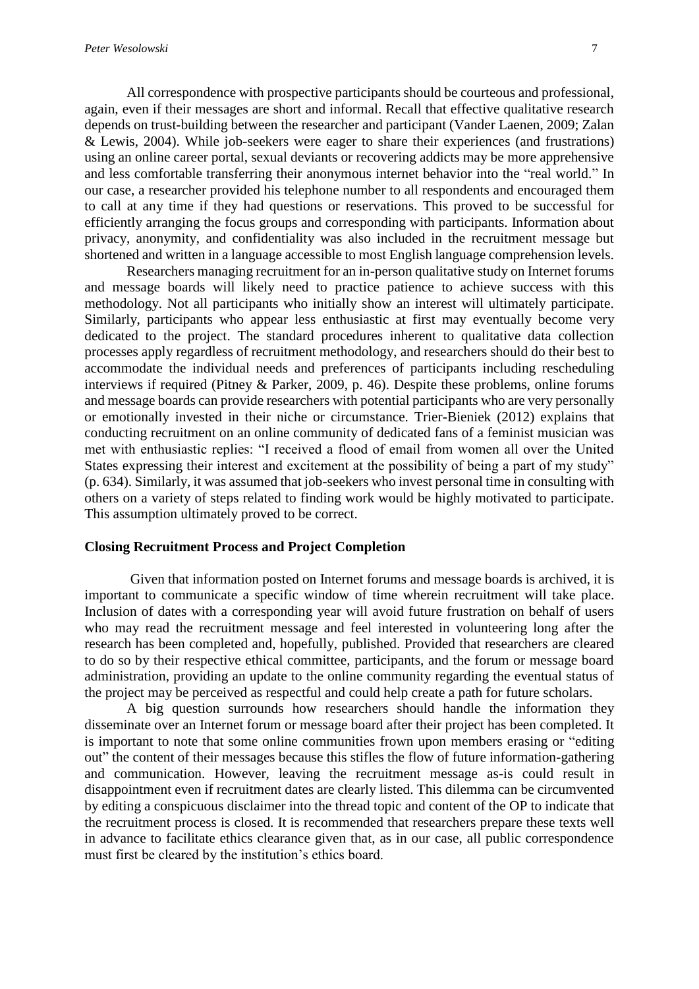All correspondence with prospective participants should be courteous and professional, again, even if their messages are short and informal. Recall that effective qualitative research depends on trust-building between the researcher and participant (Vander Laenen, 2009; Zalan & Lewis, 2004). While job-seekers were eager to share their experiences (and frustrations) using an online career portal, sexual deviants or recovering addicts may be more apprehensive and less comfortable transferring their anonymous internet behavior into the "real world." In our case, a researcher provided his telephone number to all respondents and encouraged them to call at any time if they had questions or reservations. This proved to be successful for efficiently arranging the focus groups and corresponding with participants. Information about privacy, anonymity, and confidentiality was also included in the recruitment message but shortened and written in a language accessible to most English language comprehension levels.

Researchers managing recruitment for an in-person qualitative study on Internet forums and message boards will likely need to practice patience to achieve success with this methodology. Not all participants who initially show an interest will ultimately participate. Similarly, participants who appear less enthusiastic at first may eventually become very dedicated to the project. The standard procedures inherent to qualitative data collection processes apply regardless of recruitment methodology, and researchers should do their best to accommodate the individual needs and preferences of participants including rescheduling interviews if required (Pitney & Parker, 2009, p. 46). Despite these problems, online forums and message boards can provide researchers with potential participants who are very personally or emotionally invested in their niche or circumstance. Trier-Bieniek (2012) explains that conducting recruitment on an online community of dedicated fans of a feminist musician was met with enthusiastic replies: "I received a flood of email from women all over the United States expressing their interest and excitement at the possibility of being a part of my study" (p. 634). Similarly, it was assumed that job-seekers who invest personal time in consulting with others on a variety of steps related to finding work would be highly motivated to participate. This assumption ultimately proved to be correct.

#### **Closing Recruitment Process and Project Completion**

Given that information posted on Internet forums and message boards is archived, it is important to communicate a specific window of time wherein recruitment will take place. Inclusion of dates with a corresponding year will avoid future frustration on behalf of users who may read the recruitment message and feel interested in volunteering long after the research has been completed and, hopefully, published. Provided that researchers are cleared to do so by their respective ethical committee, participants, and the forum or message board administration, providing an update to the online community regarding the eventual status of the project may be perceived as respectful and could help create a path for future scholars.

A big question surrounds how researchers should handle the information they disseminate over an Internet forum or message board after their project has been completed. It is important to note that some online communities frown upon members erasing or "editing out" the content of their messages because this stifles the flow of future information-gathering and communication. However, leaving the recruitment message as-is could result in disappointment even if recruitment dates are clearly listed. This dilemma can be circumvented by editing a conspicuous disclaimer into the thread topic and content of the OP to indicate that the recruitment process is closed. It is recommended that researchers prepare these texts well in advance to facilitate ethics clearance given that, as in our case, all public correspondence must first be cleared by the institution's ethics board.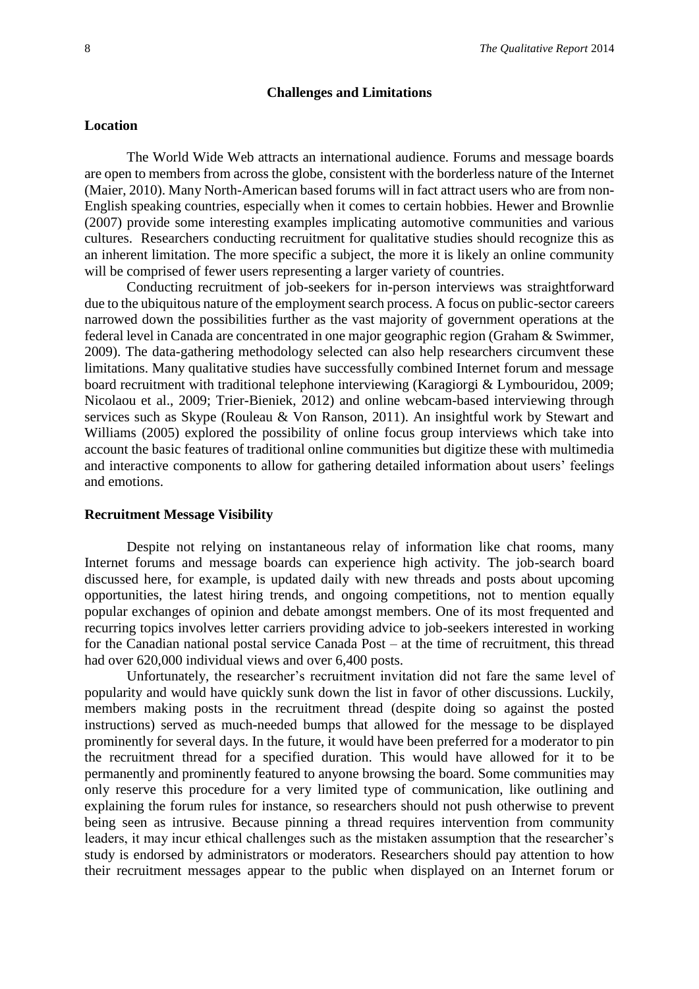#### **Challenges and Limitations**

#### **Location**

The World Wide Web attracts an international audience. Forums and message boards are open to members from across the globe, consistent with the borderless nature of the Internet (Maier, 2010). Many North-American based forums will in fact attract users who are from non-English speaking countries, especially when it comes to certain hobbies. Hewer and Brownlie (2007) provide some interesting examples implicating automotive communities and various cultures. Researchers conducting recruitment for qualitative studies should recognize this as an inherent limitation. The more specific a subject, the more it is likely an online community will be comprised of fewer users representing a larger variety of countries.

Conducting recruitment of job-seekers for in-person interviews was straightforward due to the ubiquitous nature of the employment search process. A focus on public-sector careers narrowed down the possibilities further as the vast majority of government operations at the federal level in Canada are concentrated in one major geographic region (Graham & Swimmer, 2009). The data-gathering methodology selected can also help researchers circumvent these limitations. Many qualitative studies have successfully combined Internet forum and message board recruitment with traditional telephone interviewing (Karagiorgi & Lymbouridou, 2009; Nicolaou et al., 2009; Trier-Bieniek, 2012) and online webcam-based interviewing through services such as Skype (Rouleau & Von Ranson, 2011). An insightful work by Stewart and Williams (2005) explored the possibility of online focus group interviews which take into account the basic features of traditional online communities but digitize these with multimedia and interactive components to allow for gathering detailed information about users' feelings and emotions.

#### **Recruitment Message Visibility**

Despite not relying on instantaneous relay of information like chat rooms, many Internet forums and message boards can experience high activity. The job-search board discussed here, for example, is updated daily with new threads and posts about upcoming opportunities, the latest hiring trends, and ongoing competitions, not to mention equally popular exchanges of opinion and debate amongst members. One of its most frequented and recurring topics involves letter carriers providing advice to job-seekers interested in working for the Canadian national postal service Canada Post – at the time of recruitment, this thread had over 620,000 individual views and over 6,400 posts.

Unfortunately, the researcher's recruitment invitation did not fare the same level of popularity and would have quickly sunk down the list in favor of other discussions. Luckily, members making posts in the recruitment thread (despite doing so against the posted instructions) served as much-needed bumps that allowed for the message to be displayed prominently for several days. In the future, it would have been preferred for a moderator to pin the recruitment thread for a specified duration. This would have allowed for it to be permanently and prominently featured to anyone browsing the board. Some communities may only reserve this procedure for a very limited type of communication, like outlining and explaining the forum rules for instance, so researchers should not push otherwise to prevent being seen as intrusive. Because pinning a thread requires intervention from community leaders, it may incur ethical challenges such as the mistaken assumption that the researcher's study is endorsed by administrators or moderators. Researchers should pay attention to how their recruitment messages appear to the public when displayed on an Internet forum or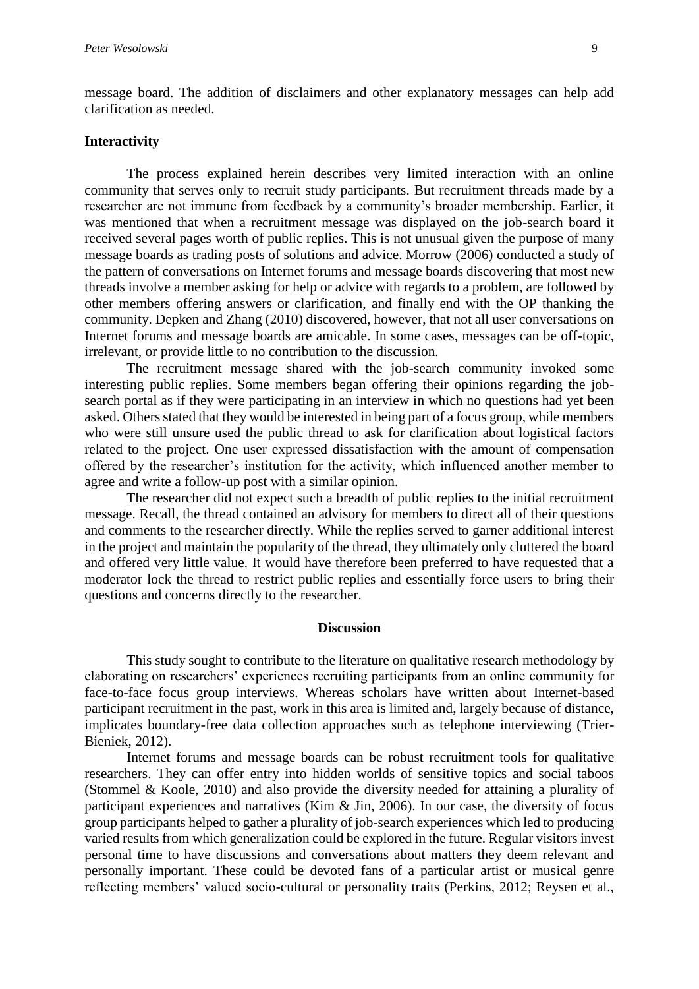message board. The addition of disclaimers and other explanatory messages can help add clarification as needed.

#### **Interactivity**

The process explained herein describes very limited interaction with an online community that serves only to recruit study participants. But recruitment threads made by a researcher are not immune from feedback by a community's broader membership. Earlier, it was mentioned that when a recruitment message was displayed on the job-search board it received several pages worth of public replies. This is not unusual given the purpose of many message boards as trading posts of solutions and advice. Morrow (2006) conducted a study of the pattern of conversations on Internet forums and message boards discovering that most new threads involve a member asking for help or advice with regards to a problem, are followed by other members offering answers or clarification, and finally end with the OP thanking the community. Depken and Zhang (2010) discovered, however, that not all user conversations on Internet forums and message boards are amicable. In some cases, messages can be off-topic, irrelevant, or provide little to no contribution to the discussion.

The recruitment message shared with the job-search community invoked some interesting public replies. Some members began offering their opinions regarding the jobsearch portal as if they were participating in an interview in which no questions had yet been asked. Others stated that they would be interested in being part of a focus group, while members who were still unsure used the public thread to ask for clarification about logistical factors related to the project. One user expressed dissatisfaction with the amount of compensation offered by the researcher's institution for the activity, which influenced another member to agree and write a follow-up post with a similar opinion.

The researcher did not expect such a breadth of public replies to the initial recruitment message. Recall, the thread contained an advisory for members to direct all of their questions and comments to the researcher directly. While the replies served to garner additional interest in the project and maintain the popularity of the thread, they ultimately only cluttered the board and offered very little value. It would have therefore been preferred to have requested that a moderator lock the thread to restrict public replies and essentially force users to bring their questions and concerns directly to the researcher.

#### **Discussion**

This study sought to contribute to the literature on qualitative research methodology by elaborating on researchers' experiences recruiting participants from an online community for face-to-face focus group interviews. Whereas scholars have written about Internet-based participant recruitment in the past, work in this area is limited and, largely because of distance, implicates boundary-free data collection approaches such as telephone interviewing (Trier-Bieniek, 2012).

Internet forums and message boards can be robust recruitment tools for qualitative researchers. They can offer entry into hidden worlds of sensitive topics and social taboos (Stommel & Koole, 2010) and also provide the diversity needed for attaining a plurality of participant experiences and narratives (Kim & Jin, 2006). In our case, the diversity of focus group participants helped to gather a plurality of job-search experiences which led to producing varied results from which generalization could be explored in the future. Regular visitors invest personal time to have discussions and conversations about matters they deem relevant and personally important. These could be devoted fans of a particular artist or musical genre reflecting members' valued socio-cultural or personality traits (Perkins, 2012; Reysen et al.,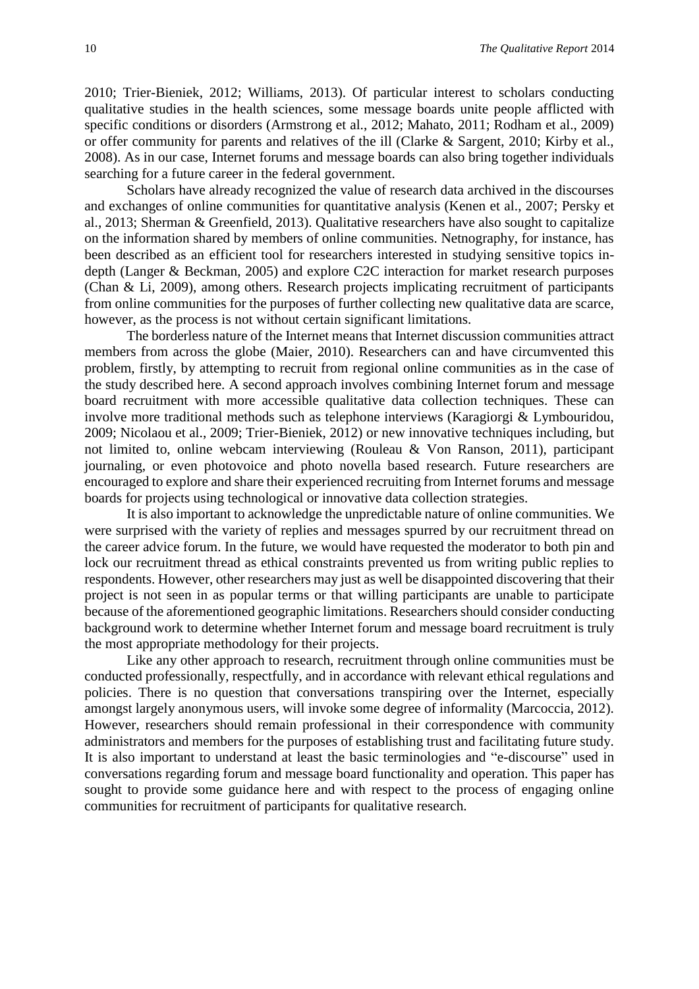2010; Trier-Bieniek, 2012; Williams, 2013). Of particular interest to scholars conducting qualitative studies in the health sciences, some message boards unite people afflicted with specific conditions or disorders (Armstrong et al., 2012; Mahato, 2011; Rodham et al., 2009) or offer community for parents and relatives of the ill (Clarke & Sargent, 2010; Kirby et al., 2008). As in our case, Internet forums and message boards can also bring together individuals searching for a future career in the federal government.

Scholars have already recognized the value of research data archived in the discourses and exchanges of online communities for quantitative analysis (Kenen et al., 2007; Persky et al., 2013; Sherman & Greenfield, 2013). Qualitative researchers have also sought to capitalize on the information shared by members of online communities. Netnography, for instance, has been described as an efficient tool for researchers interested in studying sensitive topics indepth (Langer & Beckman, 2005) and explore C2C interaction for market research purposes (Chan & Li, 2009), among others. Research projects implicating recruitment of participants from online communities for the purposes of further collecting new qualitative data are scarce, however, as the process is not without certain significant limitations.

The borderless nature of the Internet means that Internet discussion communities attract members from across the globe (Maier, 2010). Researchers can and have circumvented this problem, firstly, by attempting to recruit from regional online communities as in the case of the study described here. A second approach involves combining Internet forum and message board recruitment with more accessible qualitative data collection techniques. These can involve more traditional methods such as telephone interviews (Karagiorgi & Lymbouridou, 2009; Nicolaou et al., 2009; Trier-Bieniek, 2012) or new innovative techniques including, but not limited to, online webcam interviewing (Rouleau & Von Ranson, 2011), participant journaling, or even photovoice and photo novella based research. Future researchers are encouraged to explore and share their experienced recruiting from Internet forums and message boards for projects using technological or innovative data collection strategies.

It is also important to acknowledge the unpredictable nature of online communities. We were surprised with the variety of replies and messages spurred by our recruitment thread on the career advice forum. In the future, we would have requested the moderator to both pin and lock our recruitment thread as ethical constraints prevented us from writing public replies to respondents. However, other researchers may just as well be disappointed discovering that their project is not seen in as popular terms or that willing participants are unable to participate because of the aforementioned geographic limitations. Researchers should consider conducting background work to determine whether Internet forum and message board recruitment is truly the most appropriate methodology for their projects.

Like any other approach to research, recruitment through online communities must be conducted professionally, respectfully, and in accordance with relevant ethical regulations and policies. There is no question that conversations transpiring over the Internet, especially amongst largely anonymous users, will invoke some degree of informality (Marcoccia, 2012). However, researchers should remain professional in their correspondence with community administrators and members for the purposes of establishing trust and facilitating future study. It is also important to understand at least the basic terminologies and "e-discourse" used in conversations regarding forum and message board functionality and operation. This paper has sought to provide some guidance here and with respect to the process of engaging online communities for recruitment of participants for qualitative research.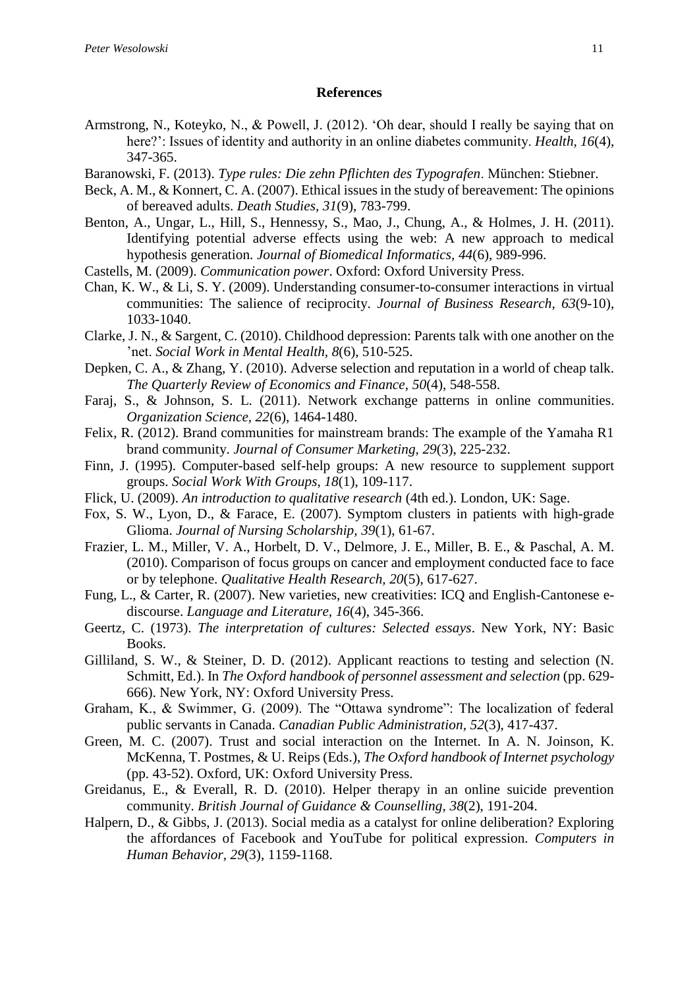#### **References**

- Armstrong, N., Koteyko, N., & Powell, J. (2012). 'Oh dear, should I really be saying that on here?': Issues of identity and authority in an online diabetes community. *Health, 16*(4), 347-365.
- Baranowski, F. (2013). *Type rules: Die zehn Pflichten des Typografen*. München: Stiebner.
- Beck, A. M., & Konnert, C. A. (2007). Ethical issues in the study of bereavement: The opinions of bereaved adults. *Death Studies, 31*(9), 783-799.
- Benton, A., Ungar, L., Hill, S., Hennessy, S., Mao, J., Chung, A., & Holmes, J. H. (2011). Identifying potential adverse effects using the web: A new approach to medical hypothesis generation. *Journal of Biomedical Informatics, 44*(6), 989-996.
- Castells, M. (2009). *Communication power*. Oxford: Oxford University Press.
- Chan, K. W., & Li, S. Y. (2009). Understanding consumer-to-consumer interactions in virtual communities: The salience of reciprocity. *Journal of Business Research, 63*(9-10), 1033-1040.
- Clarke, J. N., & Sargent, C. (2010). Childhood depression: Parents talk with one another on the 'net. *Social Work in Mental Health, 8*(6), 510-525.
- Depken, C. A., & Zhang, Y. (2010). Adverse selection and reputation in a world of cheap talk. *The Quarterly Review of Economics and Finance, 50*(4), 548-558.
- Faraj, S., & Johnson, S. L. (2011). Network exchange patterns in online communities. *Organization Science, 22*(6), 1464-1480.
- Felix, R. (2012). Brand communities for mainstream brands: The example of the Yamaha R1 brand community. *Journal of Consumer Marketing, 29*(3), 225-232.
- Finn, J. (1995). Computer-based self-help groups: A new resource to supplement support groups. *Social Work With Groups, 18*(1), 109-117.
- Flick, U. (2009). *An introduction to qualitative research* (4th ed.). London, UK: Sage.
- Fox, S. W., Lyon, D., & Farace, E. (2007). Symptom clusters in patients with high-grade Glioma. *Journal of Nursing Scholarship, 39*(1), 61-67.
- Frazier, L. M., Miller, V. A., Horbelt, D. V., Delmore, J. E., Miller, B. E., & Paschal, A. M. (2010). Comparison of focus groups on cancer and employment conducted face to face or by telephone. *Qualitative Health Research, 20*(5), 617-627.
- Fung, L., & Carter, R. (2007). New varieties, new creativities: ICQ and English-Cantonese ediscourse. *Language and Literature, 16*(4), 345-366.
- Geertz, C. (1973). *The interpretation of cultures: Selected essays*. New York, NY: Basic Books.
- Gilliland, S. W., & Steiner, D. D. (2012). Applicant reactions to testing and selection (N. Schmitt, Ed.). In *The Oxford handbook of personnel assessment and selection* (pp. 629- 666). New York, NY: Oxford University Press.
- Graham, K., & Swimmer, G. (2009). The "Ottawa syndrome": The localization of federal public servants in Canada. *Canadian Public Administration, 52*(3), 417-437.
- Green, M. C. (2007). Trust and social interaction on the Internet. In A. N. Joinson, K. McKenna, T. Postmes, & U. Reips (Eds.), *The Oxford handbook of Internet psychology* (pp. 43-52). Oxford, UK: Oxford University Press.
- Greidanus, E., & Everall, R. D. (2010). Helper therapy in an online suicide prevention community. *British Journal of Guidance & Counselling, 38*(2), 191-204.
- Halpern, D., & Gibbs, J. (2013). Social media as a catalyst for online deliberation? Exploring the affordances of Facebook and YouTube for political expression. *Computers in Human Behavior, 29*(3), 1159-1168.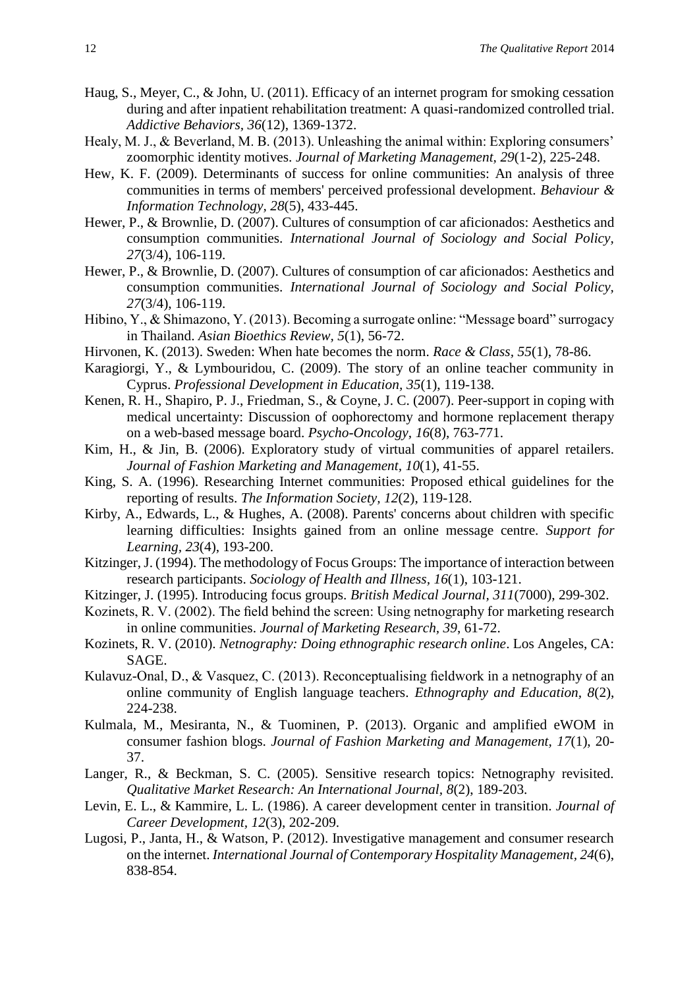- Haug, S., Meyer, C., & John, U. (2011). Efficacy of an internet program for smoking cessation during and after inpatient rehabilitation treatment: A quasi-randomized controlled trial. *Addictive Behaviors, 36*(12), 1369-1372.
- Healy, M. J., & Beverland, M. B. (2013). Unleashing the animal within: Exploring consumers' zoomorphic identity motives. *Journal of Marketing Management, 29*(1-2), 225-248.
- Hew, K. F. (2009). Determinants of success for online communities: An analysis of three communities in terms of members' perceived professional development. *Behaviour & Information Technology, 28*(5), 433-445.
- Hewer, P., & Brownlie, D. (2007). Cultures of consumption of car aficionados: Aesthetics and consumption communities. *International Journal of Sociology and Social Policy, 27*(3/4), 106-119.
- Hewer, P., & Brownlie, D. (2007). Cultures of consumption of car aficionados: Aesthetics and consumption communities. *International Journal of Sociology and Social Policy, 27*(3/4), 106-119.
- Hibino, Y., & Shimazono, Y. (2013). Becoming a surrogate online: "Message board" surrogacy in Thailand. *Asian Bioethics Review, 5*(1), 56-72.
- Hirvonen, K. (2013). Sweden: When hate becomes the norm. *Race & Class, 55*(1), 78-86.
- Karagiorgi, Y., & Lymbouridou, C. (2009). The story of an online teacher community in Cyprus. *Professional Development in Education, 35*(1), 119-138.
- Kenen, R. H., Shapiro, P. J., Friedman, S., & Coyne, J. C. (2007). Peer-support in coping with medical uncertainty: Discussion of oophorectomy and hormone replacement therapy on a web-based message board. *Psycho-Oncology, 16*(8), 763-771.
- Kim, H., & Jin, B. (2006). Exploratory study of virtual communities of apparel retailers. *Journal of Fashion Marketing and Management, 10*(1), 41-55.
- King, S. A. (1996). Researching Internet communities: Proposed ethical guidelines for the reporting of results. *The Information Society, 12*(2), 119-128.
- Kirby, A., Edwards, L., & Hughes, A. (2008). Parents' concerns about children with specific learning difficulties: Insights gained from an online message centre. *Support for Learning, 23*(4), 193-200.
- Kitzinger, J. (1994). The methodology of Focus Groups: The importance of interaction between research participants. *Sociology of Health and Illness, 16*(1), 103-121.
- Kitzinger, J. (1995). Introducing focus groups. *British Medical Journal, 311*(7000), 299-302.
- Kozinets, R. V. (2002). The field behind the screen: Using netnography for marketing research in online communities. *Journal of Marketing Research, 39*, 61-72.
- Kozinets, R. V. (2010). *Netnography: Doing ethnographic research online*. Los Angeles, CA: SAGE.
- Kulavuz-Onal, D., & Vasquez, C. (2013). Reconceptualising fieldwork in a netnography of an online community of English language teachers. *Ethnography and Education, 8*(2), 224-238.
- Kulmala, M., Mesiranta, N., & Tuominen, P. (2013). Organic and amplified eWOM in consumer fashion blogs. *Journal of Fashion Marketing and Management, 17*(1), 20- 37.
- Langer, R., & Beckman, S. C. (2005). Sensitive research topics: Netnography revisited. *Qualitative Market Research: An International Journal, 8*(2), 189-203.
- Levin, E. L., & Kammire, L. L. (1986). A career development center in transition. *Journal of Career Development, 12*(3), 202-209.
- Lugosi, P., Janta, H., & Watson, P. (2012). Investigative management and consumer research on the internet. *International Journal of Contemporary Hospitality Management, 24*(6), 838-854.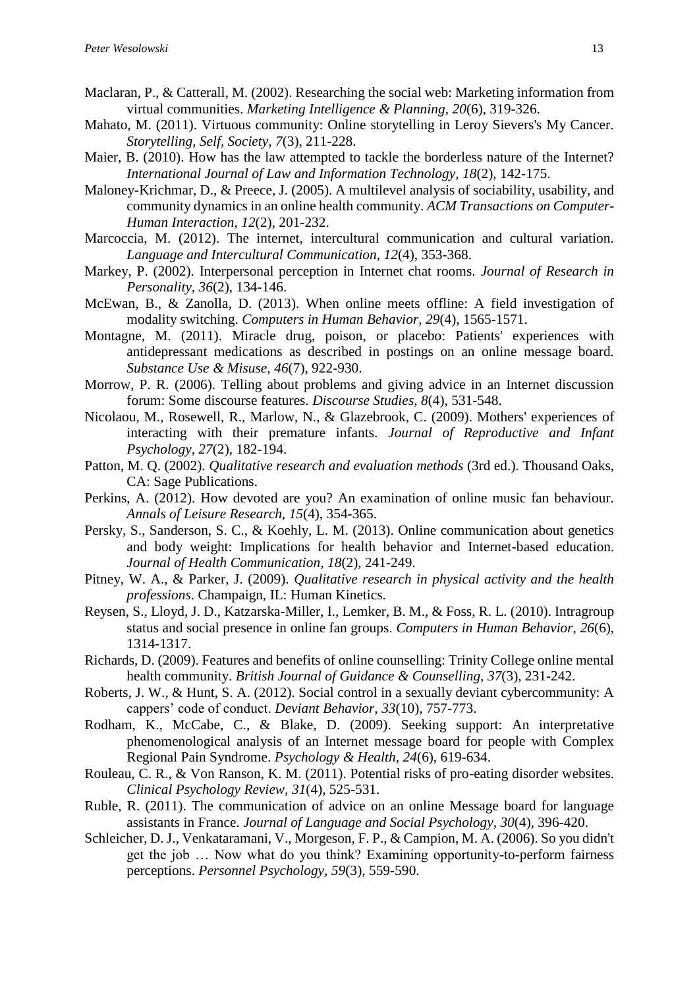- Maclaran, P., & Catterall, M. (2002). Researching the social web: Marketing information from virtual communities. *Marketing Intelligence & Planning, 20*(6), 319-326.
- Mahato, M. (2011). Virtuous community: Online storytelling in Leroy Sievers's My Cancer. *Storytelling, Self, Society, 7*(3), 211-228.
- Maier, B. (2010). How has the law attempted to tackle the borderless nature of the Internet? *International Journal of Law and Information Technology, 18*(2), 142-175.
- Maloney-Krichmar, D., & Preece, J. (2005). A multilevel analysis of sociability, usability, and community dynamics in an online health community. *ACM Transactions on Computer-Human Interaction, 12*(2), 201-232.
- Marcoccia, M. (2012). The internet, intercultural communication and cultural variation. *Language and Intercultural Communication, 12*(4), 353-368.
- Markey, P. (2002). Interpersonal perception in Internet chat rooms. *Journal of Research in Personality, 36*(2), 134-146.
- McEwan, B., & Zanolla, D. (2013). When online meets offline: A field investigation of modality switching. *Computers in Human Behavior, 29*(4), 1565-1571.
- Montagne, M. (2011). Miracle drug, poison, or placebo: Patients' experiences with antidepressant medications as described in postings on an online message board. *Substance Use & Misuse, 46*(7), 922-930.
- Morrow, P. R. (2006). Telling about problems and giving advice in an Internet discussion forum: Some discourse features. *Discourse Studies, 8*(4), 531-548.
- Nicolaou, M., Rosewell, R., Marlow, N., & Glazebrook, C. (2009). Mothers' experiences of interacting with their premature infants. *Journal of Reproductive and Infant Psychology, 27*(2), 182-194.
- Patton, M. Q. (2002). *Qualitative research and evaluation methods* (3rd ed.). Thousand Oaks, CA: Sage Publications.
- Perkins, A. (2012). How devoted are you? An examination of online music fan behaviour. *Annals of Leisure Research, 15*(4), 354-365.
- Persky, S., Sanderson, S. C., & Koehly, L. M. (2013). Online communication about genetics and body weight: Implications for health behavior and Internet-based education. *Journal of Health Communication, 18*(2), 241-249.
- Pitney, W. A., & Parker, J. (2009). *Qualitative research in physical activity and the health professions*. Champaign, IL: Human Kinetics.
- Reysen, S., Lloyd, J. D., Katzarska-Miller, I., Lemker, B. M., & Foss, R. L. (2010). Intragroup status and social presence in online fan groups. *Computers in Human Behavior, 26*(6), 1314-1317.
- Richards, D. (2009). Features and benefits of online counselling: Trinity College online mental health community. *British Journal of Guidance & Counselling, 37*(3), 231-242.
- Roberts, J. W., & Hunt, S. A. (2012). Social control in a sexually deviant cybercommunity: A cappers' code of conduct. *Deviant Behavior, 33*(10), 757-773.
- Rodham, K., McCabe, C., & Blake, D. (2009). Seeking support: An interpretative phenomenological analysis of an Internet message board for people with Complex Regional Pain Syndrome. *Psychology & Health, 24*(6), 619-634.
- Rouleau, C. R., & Von Ranson, K. M. (2011). Potential risks of pro-eating disorder websites. *Clinical Psychology Review, 31*(4), 525-531.
- Ruble, R. (2011). The communication of advice on an online Message board for language assistants in France. *Journal of Language and Social Psychology, 30*(4), 396-420.
- Schleicher, D. J., Venkataramani, V., Morgeson, F. P., & Campion, M. A. (2006). So you didn't get the job … Now what do you think? Examining opportunity-to-perform fairness perceptions. *Personnel Psychology, 59*(3), 559-590.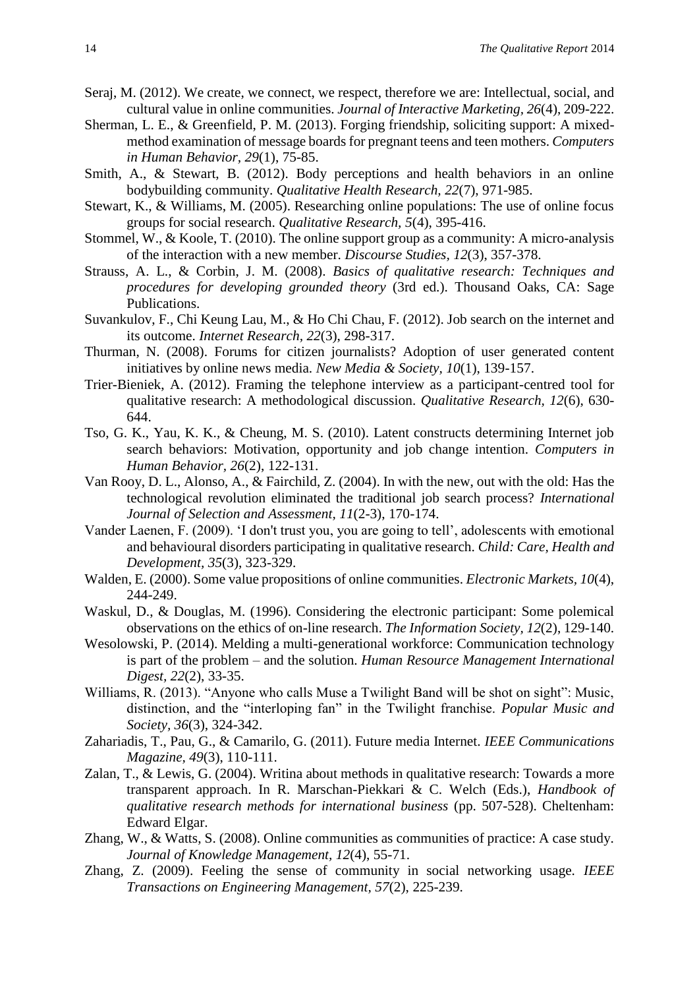- Seraj, M. (2012). We create, we connect, we respect, therefore we are: Intellectual, social, and cultural value in online communities. *Journal of Interactive Marketing, 26*(4), 209-222.
- Sherman, L. E., & Greenfield, P. M. (2013). Forging friendship, soliciting support: A mixedmethod examination of message boards for pregnant teens and teen mothers. *Computers in Human Behavior, 29*(1), 75-85.
- Smith, A., & Stewart, B. (2012). Body perceptions and health behaviors in an online bodybuilding community. *Qualitative Health Research, 22*(7), 971-985.
- Stewart, K., & Williams, M. (2005). Researching online populations: The use of online focus groups for social research. *Qualitative Research, 5*(4), 395-416.
- Stommel, W., & Koole, T. (2010). The online support group as a community: A micro-analysis of the interaction with a new member. *Discourse Studies, 12*(3), 357-378.
- Strauss, A. L., & Corbin, J. M. (2008). *Basics of qualitative research: Techniques and procedures for developing grounded theory* (3rd ed.). Thousand Oaks, CA: Sage Publications.
- Suvankulov, F., Chi Keung Lau, M., & Ho Chi Chau, F. (2012). Job search on the internet and its outcome. *Internet Research, 22*(3), 298-317.
- Thurman, N. (2008). Forums for citizen journalists? Adoption of user generated content initiatives by online news media. *New Media & Society, 10*(1), 139-157.
- Trier-Bieniek, A. (2012). Framing the telephone interview as a participant-centred tool for qualitative research: A methodological discussion. *Qualitative Research, 12*(6), 630- 644.
- Tso, G. K., Yau, K. K., & Cheung, M. S. (2010). Latent constructs determining Internet job search behaviors: Motivation, opportunity and job change intention. *Computers in Human Behavior, 26*(2), 122-131.
- Van Rooy, D. L., Alonso, A., & Fairchild, Z. (2004). In with the new, out with the old: Has the technological revolution eliminated the traditional job search process? *International Journal of Selection and Assessment, 11*(2-3), 170-174.
- Vander Laenen, F. (2009). 'I don't trust you, you are going to tell', adolescents with emotional and behavioural disorders participating in qualitative research. *Child: Care, Health and Development, 35*(3), 323-329.
- Walden, E. (2000). Some value propositions of online communities. *Electronic Markets, 10*(4), 244-249.
- Waskul, D., & Douglas, M. (1996). Considering the electronic participant: Some polemical observations on the ethics of on-line research. *The Information Society, 12*(2), 129-140.
- Wesolowski, P. (2014). Melding a multi-generational workforce: Communication technology is part of the problem – and the solution. *Human Resource Management International Digest, 22*(2), 33-35.
- Williams, R. (2013). "Anyone who calls Muse a Twilight Band will be shot on sight": Music, distinction, and the "interloping fan" in the Twilight franchise. *Popular Music and Society, 36*(3), 324-342.
- Zahariadis, T., Pau, G., & Camarilo, G. (2011). Future media Internet. *IEEE Communications Magazine, 49*(3), 110-111.
- Zalan, T., & Lewis, G. (2004). Writina about methods in qualitative research: Towards a more transparent approach. In R. Marschan-Piekkari & C. Welch (Eds.), *Handbook of qualitative research methods for international business* (pp. 507-528). Cheltenham: Edward Elgar.
- Zhang, W., & Watts, S. (2008). Online communities as communities of practice: A case study. *Journal of Knowledge Management, 12*(4), 55-71.
- Zhang, Z. (2009). Feeling the sense of community in social networking usage. *IEEE Transactions on Engineering Management, 57*(2), 225-239.